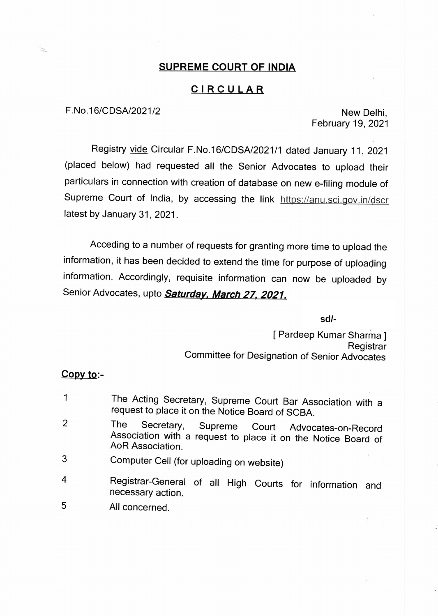## **SUPREME COURT OF INDIA**

## **CIRCULAR**

# F.No.16/CDSA/2021/2 New Delhi,

February 19, 2021

Registry vide Circular F.No.16/CDSA/2021 /1 dated January 11, 2021 (placed below) had requested all the Senior Advocates to upload their particulars in connection with creation of database on new e-filing module of Supreme Court of India, by accessing the link https://anu.sci.gov.in/dscr latest by January 31, 2021.

Acceding to a number of requests for granting more time to upload the information, it has been decided to extend the time for purpose of uploading information. Accordingly, requisite information can now be uploaded by Senior Advocates, upto **Saturday, March 27, 2021.** 

**sd/-**

[ Pardeep Kumar Sharma ] **Registrar** Committee for Designation of Senior Advocates

#### **Copy to:-**

| $\mathbf{1}$ | The Acting Secretary, Supreme Court Bar Association with a<br>request to place it on the Notice Board of SCBA.                            |
|--------------|-------------------------------------------------------------------------------------------------------------------------------------------|
| 2            | I he<br>Secretary, Supreme Court Advocates-on-Record<br>Association with a request to place it on the Notice Board of<br>AoR Association. |
| 3            | Computer Cell (for uploading on website)                                                                                                  |
| 4            | Registrar-General of all High Courts for information and<br>necessary action.                                                             |

5 All concerned.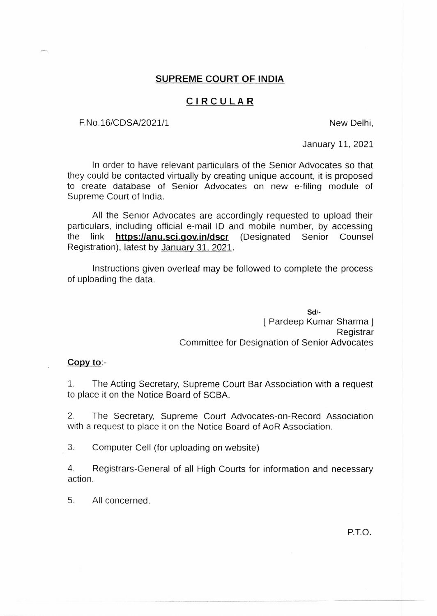#### **SUPREME COURT OF INDIA**

## **CIRCULAR**

F.No.16/CDSA/2021/1 New Delhi,

January 11, 2021

In order to have relevant particulars of the Senior Advocates so that they could be contacted virtually by creating unique account, it is proposed to create database of Senior Advocates on new e-filing module of Supreme Court of India.

All the Senior Advocates are accordingly requested to upload their particulars, including official e-mail ID and mobile number, by accessing the link **https://anu.sci.gov.in/dscr** (Designated Senior Counsel Registration), latest by January 31, 2021.

Instructions given overleaf may be followed to complete the process of uploading the data.

> **Sd/**  <sup>l</sup>Pardeep Kumar Sharma <sup>J</sup> Registrar Committee for Designation of Senior Advocates

#### **Copy to:-**

1. The Acting Secretary, Supreme Court Bar Association with a request to place it on the Notice Board of SCBA.

2. The Secretary, Supreme Court Advocates-on-Record Association with a request to place it on the Notice Board of AoR Association.

3. Computer Cell (for uploading on website)

4. Registrars-General of all High Courts for information and necessary action.

5. All concerned.

P.T.O.